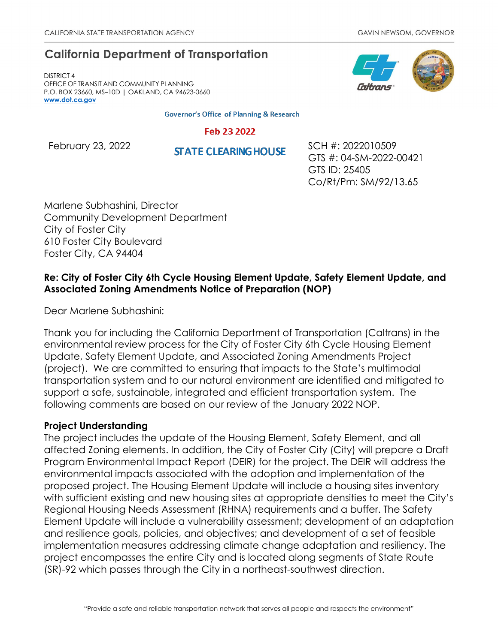# **California Department of Transportation**

DISTRICT 4 OFFICE OF TRANSIT AND COMMUNITY PLANNING P.O. BOX 23660, MS–10D | OAKLAND, CA 94623-0660 **[www.dot.ca.gov](http://www.dot.ca.gov/)**

**Governor's Office of Planning & Research** 

#### Feb 23 2022

February 23, 2022<br> **STATE CLEARING HOUSE** SCH #: 2022010509 GTS #: 04-SM-2022-00421 GTS ID: 25405 Co/Rt/Pm: SM/92/13.65

Marlene Subhashini, Director Community Development Department City of Foster City 610 Foster City Boulevard Foster City, CA 94404

# **Re: City of Foster City 6th Cycle Housing Element Update, Safety Element Update, and Associated Zoning Amendments Notice of Preparation (NOP)**

Dear Marlene Subhashini:

Thank you for including the California Department of Transportation (Caltrans) in the environmental review process for the City of Foster City 6th Cycle Housing Element Update, Safety Element Update, and Associated Zoning Amendments Project (project). We are committed to ensuring that impacts to the State's multimodal transportation system and to our natural environment are identified and mitigated to support a safe, sustainable, integrated and efficient transportation system. The following comments are based on our review of the January 2022 NOP.

## **Project Understanding**

The project includes the update of the Housing Element, Safety Element, and all affected Zoning elements. In addition, the City of Foster City (City) will prepare a Draft Program Environmental Impact Report (DEIR) for the project. The DEIR will address the environmental impacts associated with the adoption and implementation of the proposed project. The Housing Element Update will include a housing sites inventory with sufficient existing and new housing sites at appropriate densities to meet the City's Regional Housing Needs Assessment (RHNA) requirements and a buffer. The Safety Element Update will include a vulnerability assessment; development of an adaptation and resilience goals, policies, and objectives; and development of a set of feasible implementation measures addressing climate change adaptation and resiliency. The project encompasses the entire City and is located along segments of State Route (SR)-92 which passes through the City in a northeast-southwest direction.